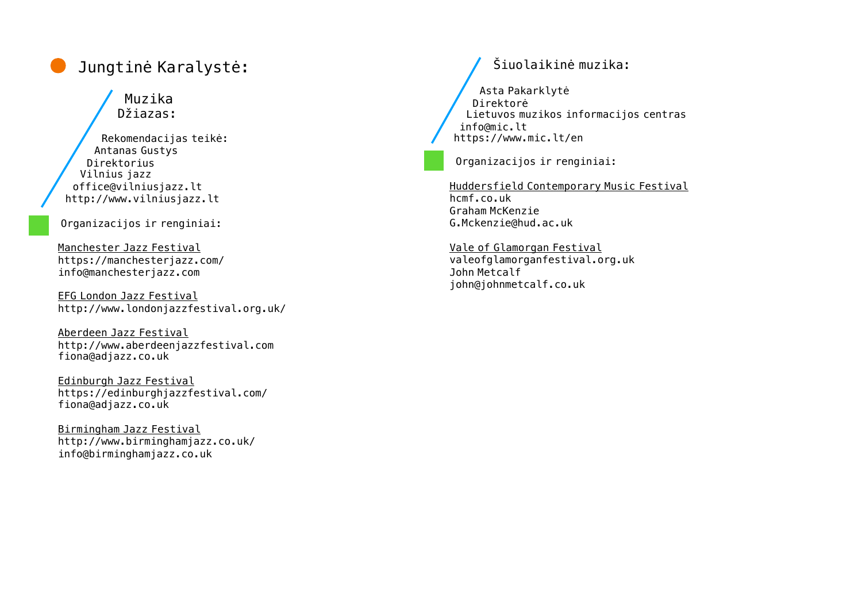# Jungtinė Karalystė:

Muzika Džiazas:

Rekomendacijas teikė: Antanas Gustys Direktorius Vilnius jazz [office@vilniusjazz.lt](mailto:office@vilniusjazz.lt) <http://www.vilniusjazz.lt>

Organizacijos ir renginiai:

Manchester Jazz Festival https://manchesterjazz.com/ [info@manchesterjazz.com](mailto:info@manchesterjazz.com)

EFG London Jazz Festival <http://www.londonjazzfestival.org.uk/>

Aberdeen Jazz Festival <http://www.aberdeenjazzfestival.com> [fiona@adjazz.co.uk](mailto:fiona@adjazz.co.uk)

Edinburgh Jazz Festival <https://edinburghjazzfestival.com/> fiona@adjazz.co.uk

Birmingham Jazz Festival <http://www.birminghamjazz.co.uk/> [info@birminghamjazz.co.uk](mailto:info@birminghamjazz.co.uk)

### Šiuolaikinė muzika:

Asta Pakarklytė Direktorė Lietuvos muzikos informacijos centras [info@mic.lt](mailto:info@mic.lt) <https://www.mic.lt/en>

Organizacijos ir renginiai:

Huddersfield Contemporary Music Festival hcmf.co.uk Graham McKenzie G.Mckenzie@hud.ac.uk

Vale of Glamorgan Festival valeofglamorganfestival.org.uk John Metcalf john@johnmetcalf.co.uk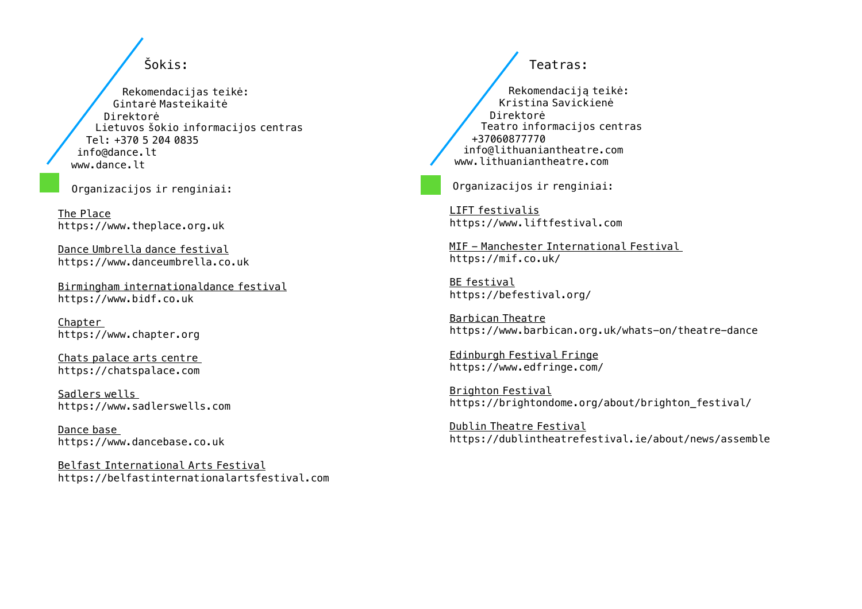Šokis:

Rekomendacijas teikė: Gintarė Masteikaitė Direktorė Lietuvos šokio informacijos centras Tel: +370 5 204 0835 [info@dance.lt](mailto:info@dance.lt) www.dance.lt

Organizacijos ir renginiai:

The Place <https://www.theplace.org.uk>

Dance Umbrella dance festival https://www.danceumbrella.co.uk

Birmingham internationaldance festival <https://www.bidf.co.uk>

Chapter <https://www.chapter.org>

Chats palace arts centre <https://chatspalace.com>

Sadlers wells <https://www.sadlerswells.com>

Dance base <https://www.dancebase.co.uk>

Belfast International Arts Festival https://belfastinternationalartsfestival.com

Teatras: Rekomendaciją teikė: Kristina Savickienė Direktorė Teatro informacijos centras +37060877770 [info@lithuaniantheatre.com](mailto:info@lithuaniantheatre.com) [www.lithuaniantheatre.com](http://www.lithuaniantheatre.com)

Organizacijos ir renginiai:

LIFT festivalis <https://www.liftfestival.com>

MIF - Manchester International Festival <https://mif.co.uk/>

BE festival <https://befestival.org/>

Barbican Theatre https://www.barbican.org.uk/whats-on/theatre-dance

Edinburgh Festival Fringe <https://www.edfringe.com/>

Brighton Festival https://brightondome.org/about/brighton festival/

Dublin Theatre Festival https://dublintheatrefestival.ie/about/news/assemble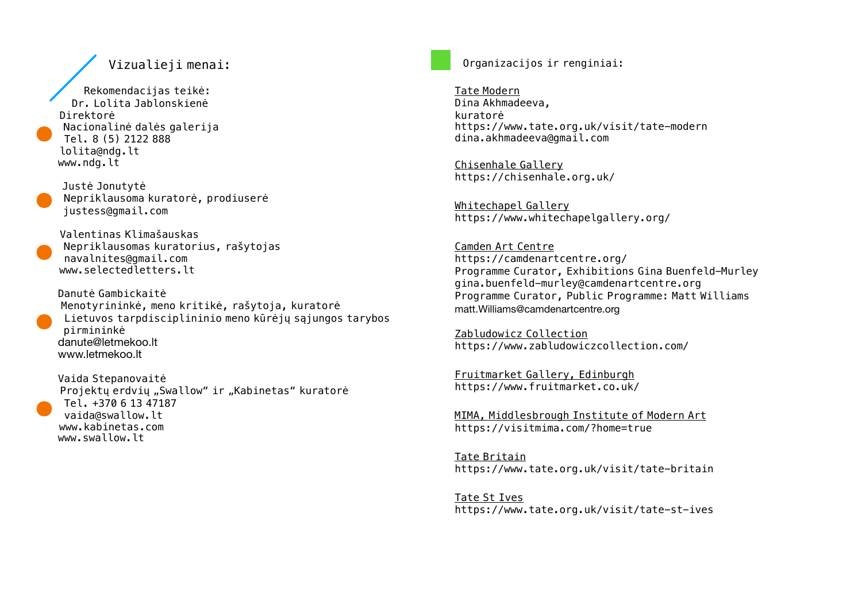#### Vizualieji menai:

Rekomendacijas teikė: Dr. Lolita Jablonskienė Direktorė Nacionalinė dalės galerija Tel. 8 (5) [2122](mailto:lolita@ndg.lt) 888 [lolita@ndg.lt](mailto:lolita@ndg.lt) [www.ndg.lt](http://www.ndg.lt)

Justė Jonutytė Nepriklausoma kuratorė, prodiuserė [justess@gmail.com](mailto:justess@gmail.com)

Valentinas Klimašauskas Nepriklausomas kuratorius, rašytojas [navalnites@gmail.com](mailto:navalnites@gmail.com) [www.selectedletters.lt](http://www.selectedletters.lt)

Danutė Gambickaitė Menotyrininkė, meno kritikė, rašytoja, kuratorė Lietuvos [tarpdisciplininio](mailto:danute@letmekoo.lt) meno kūrėjų sąjungos tarybos [pirminink](mailto:danute@letmekoo.lt)ė danute@letmekoo.lt www.letmekoo.lt

Vaida Stepanovaitė Projektų erdvių "Swallow" ir "Kabinetas" kuratorė Tel. +370 6 13 47187 [vaida@swallow.lt](mailto:vaida@swallow.lt) [www.kabinetas.com](http://www.kabinetas.com) [www.swallow.lt](http://www.swallow.lt)

Organizacijos ir renginiai:

Tate Modern Dina Akhmadeeva, kuratorė <https://www.tate.org.uk/visit/tate-modern> [dina.akhmadeeva@gmail.com](mailto:dina.akhmadeeva@gmail.com)

Chisenhale Gallery https://chisenhale.org.uk/

Whitechapel Gallery https://www.whitechapelgallery.org/

Camden Art Centre https://camdenartcentre.org/ Programme Curator, Exhibitions Gina Buenfeld-Murley gina.buenfeld-murley@camdenartcentre.org Programme Curator, Public Programme: Matt Williams [matt.Williams@camdenartcentre.org](mailto:matt.Williams@camdenartcentre.org)

Zabludowicz Collection https://www.zabludowiczcollection.com/

Fruitmarket Gallery, Edinburgh https://www.fruitmarket.co.uk/

MIMA, Middlesbrough Institute of Modern Art https://visitmima.com/?home=true

Tate Britain https://www.tate.org.uk/visit/tate-britain

Tate St Ives https://www.tate.org.uk/visit/tate-st-ives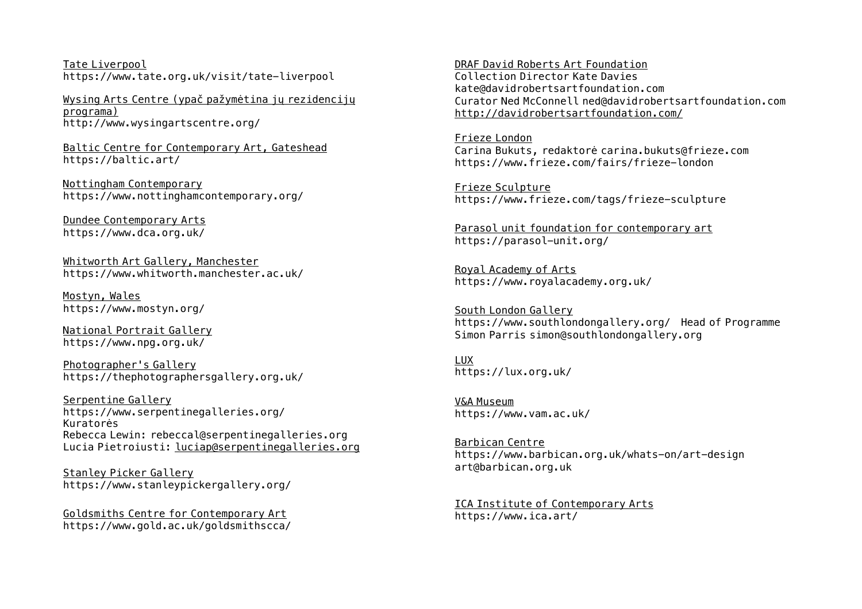Tate Liverpool https://www.tate.org.uk/visit/tate-liverpool

Wysing Arts Centre (ypač pažymėtina jų rezidencijų programa) <http://www.wysingartscentre.org/>

Baltic Centre for Contemporary Art, Gateshead https://baltic.art/

Nottingham Contemporary https://www.nottinghamcontemporary.org/

Dundee Contemporary Arts https://www.dca.org.uk/

Whitworth Art Gallery, Manchester https://www.whitworth.manchester.ac.uk/

Mostyn, Wales https://www.mostyn.org/

National Portrait Gallery https://www.npg.org.uk/

Photographer's Gallery https://thephotographersgallery.org.uk/

Serpentine Gallery https://www.serpentinegalleries.org/ Kuratorės Rebecca Lewin: rebeccal@serpentinegalleries.org Lucia Pietroiusti: [luciap@serpentinegalleries.org](mailto:luciap@serpentinegalleries.org)

Stanley Picker Gallery https://www.stanleypickergallery.org/

Goldsmiths Centre for Contemporary Art https://www.gold.ac.uk/goldsmithscca/

DRAF David Roberts Art Foundation Collection Director Kate Davies kate@davidrobertsartfoundation.com Curator Ned McConnell ned@davidrobertsartfoundation.com <http://davidrobertsartfoundation.com/>

Frieze London Carina Bukuts, redaktorė carina.bukuts@frieze.com <https://www.frieze.com/fairs/frieze-london>

Frieze Sculpture https://www.frieze.com/tags/frieze-sculpture

Parasol unit foundation for contemporary art https://parasol-unit.org/

Royal Academy of Arts https://www.royalacademy.org.uk/

South London Gallery https://www.southlondongallery.org/ Head of Programme Simon Parris [simon@southlondongallery.org](mailto:simon@southlondongallery.org)

LUX https://lux.org.uk/

V&A Museum https://www.vam.ac.uk/

Barbican Centre https://www.barbican.org.uk/whats-on/art-design [art@barbican.org.uk](mailto:art@barbican.org.uk)

ICA Institute of Contemporary Arts https://www.ica.art/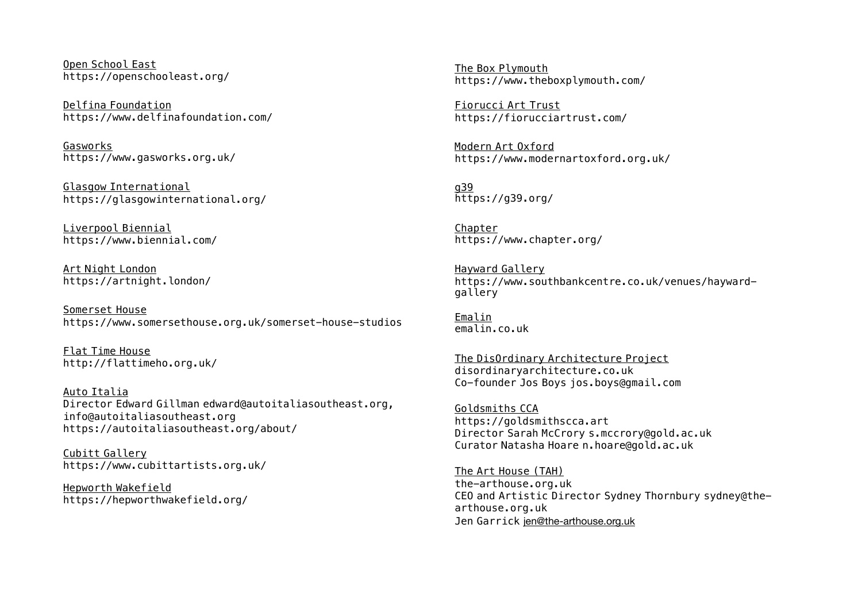Open School East https://openschooleast.org/

Delfina Foundation https://www.delfinafoundation.com/

Gasworks https://www.gasworks.org.uk/

Glasgow International https://glasgowinternational.org/

Liverpool Biennial https://www.biennial.com/

Art Night London https://artnight.london/

Somerset House https://www.somersethouse.org.uk/somerset-house-studios

Flat Time House http://flattimeho.org.uk/

Auto Italia Director Edward Gillman edward@autoitaliasoutheast.org, info@autoitaliasoutheast.org <https://autoitaliasoutheast.org/about/>

Cubitt Gallery <https://www.cubittartists.org.uk/>

Hepworth Wakefield https://hepworthwakefield.org/

The Box Plymouth https://www.theboxplymouth.com/

Fiorucci Art Trust https://fiorucciartrust.com/

Modern Art Oxford https://www.modernartoxford.org.uk/

g39 https://g39.org/

Chapter https://www.chapter.org/

Hayward Gallery [https://www.southbankcentre.co.uk/venues/hayward](https://www.southbankcentre.co.uk/venues/hayward-gallery)gallery

Emalin emalin.co.uk

The DisOrdinary Architecture Project disordinaryarchitecture.co.uk Co-founder Jos Boys [jos.boys@gmail.com](mailto:jos.boys@gmail.com)

Goldsmiths CCA https://goldsmithscca.art Director Sarah McCrory s.mccrory@gold.ac.uk Curator Natasha Hoare [n.hoare@gold.ac.uk](mailto:n.hoare@gold.ac.uk)

The Art House (TAH) the-arthouse.org.uk CEO and Artistic Director Sydney Thornbury sydney@thearthouse.org.uk Jen Garrick [jen@the-arthouse.org.uk](mailto:jen@the-arthouse.org.uk)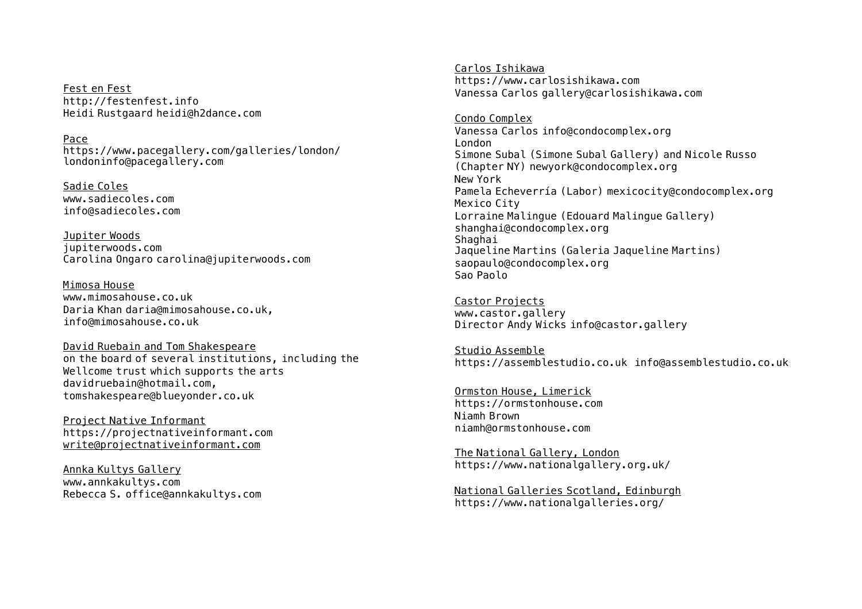Fest en Fest http://festenfest.info Heidi Rustgaard [heidi@h2dance.com](mailto:heidi@h2dance.com)

Pace

https://www.pacegallery.com/galleries/london/ [londoninfo@pacegallery.com](mailto:londoninfo@pacegallery.com)

Sadie Coles www.sadiecoles.com [info@sadiecoles.com](mailto:info@sadiecoles.com)

Jupiter Woods jupiterwoods.com Carolina Ongaro [carolina@jupiterwoods.com](mailto:carolina@jupiterwoods.com)

Mimosa House www.mimosahouse.co.uk Daria Khan [daria@mimosahouse.co.uk](mailto:daria@mimosahouse.co.uk), [info@mimosahouse.co.uk](mailto:info@mimosahouse.co.uk)

David Ruebain and Tom Shakespeare on the board of several institutions, including the Wellcome trust which supports the arts davidruebain@hotmail.com, [tomshakespeare@blueyonder.co.uk](mailto:tomshakespeare@blueyonder.co.uk)

Project Native Informant https://projectnativeinformant.com [write@projectnativeinformant.com](mailto:write@projectnativeinformant.com)

Annka Kultys Gallery www.annkakultys.com Rebecca S. [office@annkakultys.com](mailto:office@annkakultys.com)

Carlos Ishikawa https://www.carlosishikawa.com Vanessa Carlos gallery@carlosishikawa.com

Condo Complex Vanessa Carlos info@condocomplex.org London Simone Subal (Simone Subal Gallery) and Nicole Russo (Chapter NY) newyork@condocomplex.org New York Pamela Echeverría (Labor) mexicocity@condocomplex.org Mexico City Lorraine Malingue (Edouard Malingue Gallery) shanghai@condocomplex.org Shaghai Jaqueline Martins (Galeria Jaqueline Martins) saopaulo@condocomplex.org Sao Paolo

Castor Projects www.castor.gallery Director Andy Wicks [info@castor.gallery](mailto:info@castor.gallery)

Studio Assemble https://assemblestudio.co.uk info@assemblestudio.co.uk

Ormston House, Limerick https://ormstonhouse.com Niamh Brown [niamh@ormstonhouse.com](mailto:niamh@ormstonhouse.com)

The National Gallery, London https://www.nationalgallery.org.uk/

National Galleries Scotland, Edinburgh https://www.nationalgalleries.org/